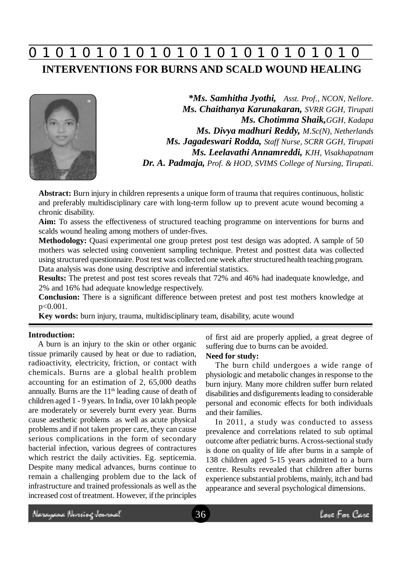## **0 z 0 z 0 z 0 z 0 z 0 z 0 z 0 z 0 z 0 z 0 z 0 z 0 INTERVENTIONS FOR BURNS AND SCALD WOUND HEALING**

*\*Ms. Samhitha Jyothi, Asst. Prof., NCON, Nellore. Ms. Chaithanya Karunakaran, SVRR GGH, Tirupati Ms. Chotimma Shaik,GGH, Kadapa Ms. Divya madhuri Reddy, M.Sc(N), Netherlands Ms. Jagadeswari Rodda, Staff Nurse, SCRR GGH, Tirupati Ms. Leelavathi Annamreddi, KJH, Visakhapatnam Dr. A. Padmaja, Prof. & HOD, SVIMS College of Nursing, Tirupati.*

**Abstract:** Burn injury in children represents a unique form of trauma that requires continuous, holistic and preferably multidisciplinary care with long-term follow up to prevent acute wound becoming a chronic disability.

**Aim:** To assess the effectiveness of structured teaching programme on interventions for burns and scalds wound healing among mothers of under-fives.

**Methodology:** Quasi experimental one group pretest post test design was adopted. A sample of 50 mothers was selected using convenient sampling technique. Pretest and posttest data was collected using structured questionnaire. Post test was collected one week after structured health teaching program. Data analysis was done using descriptive and inferential statistics.

**Results:** The pretest and post test scores reveals that 72% and 46% had inadequate knowledge, and 2% and 16% had adequate knowledge respectively.

**Conclusion:** There is a significant difference between pretest and post test mothers knowledge at p<0.001.

**Key words:** burn injury, trauma, multidisciplinary team, disability, acute wound

### **Introduction:**

A burn is an injury to the skin or other organic tissue primarily caused by heat or due to radiation, radioactivity, electricity, friction, or contact with chemicals. Burns are a global health problem accounting for an estimation of 2, 65,000 deaths annually. Burns are the  $11<sup>th</sup>$  leading cause of death of children aged 1 - 9 years. In India, over 10 lakh people are moderately or severely burnt every year. Burns cause aesthetic problems as well as acute physical problems and if not taken proper care, they can cause serious complications in the form of secondary bacterial infection, various degrees of contractures which restrict the daily activities. Eg. septicemia. Despite many medical advances, burns continue to remain a challenging problem due to the lack of infrastructure and trained professionals as well as the increased cost of treatment. However, if the principles of first aid are properly applied, a great degree of suffering due to burns can be avoided.

## **Need for study:**

The burn child undergoes a wide range of physiologic and metabolic changes in response to the burn injury. Many more children suffer burn related disabilities and disfigurements leading to considerable personal and economic effects for both individuals and their families.

In 2011, a study was conducted to assess prevalence and correlations related to sub optimal outcome after pediatric burns. A cross-sectional study is done on quality of life after burns in a sample of 138 children aged 5-15 years admitted to a burn centre. Results revealed that children after burns experience substantial problems, mainly, itch and bad appearance and several psychological dimensions.

Mercycae Norsiog James el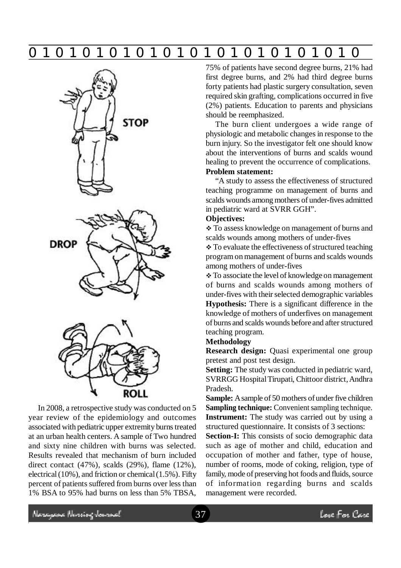# **0 z 0 z 0 z 0 z 0 z 0 z 0 z 0 z 0 z 0 z 0 z 0 z 0**







In 2008, a retrospective study was conducted on 5 year review of the epidemiology and outcomes associated with pediatric upper extremity burns treated at an urban health centers. A sample of Two hundred and sixty nine children with burns was selected. Results revealed that mechanism of burn included direct contact (47%), scalds (29%), flame (12%), electrical (10%), and friction or chemical (1.5%). Fifty percent of patients suffered from burns over less than 1% BSA to 95% had burns on less than 5% TBSA,

75% of patients have second degree burns, 21% had first degree burns, and 2% had third degree burns forty patients had plastic surgery consultation, seven required skin grafting, complications occurred in five (2%) patients. Education to parents and physicians should be reemphasized.

The burn client undergoes a wide range of physiologic and metabolic changes in response to the burn injury. So the investigator felt one should know about the interventions of burns and scalds wound healing to prevent the occurrence of complications.

## **Problem statement:**

"A study to assess the effectiveness of structured teaching programme on management of burns and scalds wounds among mothers of under-fives admitted in pediatric ward at SVRR GGH".

## **Objectives:**

 To assess knowledge on management of burns and scalds wounds among mothers of under-fives

 $\div$  To evaluate the effectiveness of structured teaching program on management of burns and scalds wounds among mothers of under-fives

\* To associate the level of knowledge on management of burns and scalds wounds among mothers of under-fives with their selected demographic variables **Hypothesis:** There is a significant difference in the knowledge of mothers of underfives on management of burns and scalds wounds before and after structured teaching program.

#### **Methodology**

**Research design:** Quasi experimental one group pretest and post test design.

**Setting:** The study was conducted in pediatric ward, SVRRGG Hospital Tirupati, Chittoor district, Andhra Pradesh.

**Sample:** A sample of 50 mothers of under five children **Sampling technique:** Convenient sampling technique. **Instrument:** The study was carried out by using a structured questionnaire. It consists of 3 sections:

Section-I: This consists of socio demographic data such as age of mother and child, education and occupation of mother and father, type of house, number of rooms, mode of coking, religion, type of family, mode of preserving hot foods and fluids, source of information regarding burns and scalds management were recorded.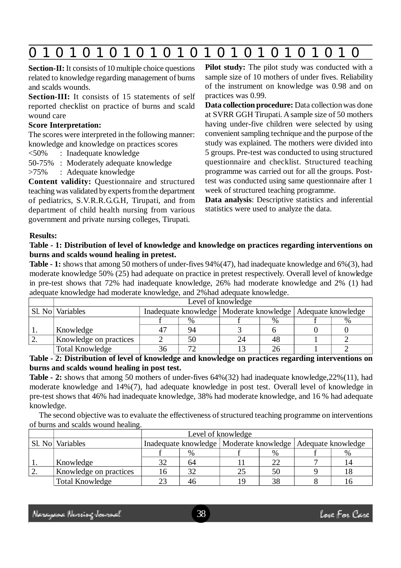|--|--|--|

**Section-II:** It consists of 10 multiple choice questions related to knowledge regarding management of burns and scalds wounds.

**Section-III:** It consists of 15 statements of self reported checklist on practice of burns and scald wound care

## **Score Interpretation:**

The scores were interpreted in the following manner: knowledge and knowledge on practices scores

<50% : Inadequate knowledge

50-75% : Moderately adequate knowledge

>75% : Adequate knowledge

**Content validity:** Questionnaire and structured teaching was validated by experts from the department of pediatrics, S.V.R.R.G.G.H, Tirupati, and from department of child health nursing from various government and private nursing colleges, Tirupati.

**Pilot study:** The pilot study was conducted with a sample size of 10 mothers of under fives. Reliability of the instrument on knowledge was 0.98 and on practices was 0.99.

**Data collection procedure:** Data collection was done at SVRR GGH Tirupati. A sample size of 50 mothers having under-five children were selected by using convenient sampling technique and the purpose of the study was explained. The mothers were divided into 5 groups. Pre-test was conducted to using structured questionnaire and checklist. Structured teaching programme was carried out for all the groups. Posttest was conducted using same questionnaire after 1 week of structured teaching programme.

**Data analysis**: Descriptive statistics and inferential statistics were used to analyze the data.

## **Results:**

## **Table - 1: Distribution of level of knowledge and knowledge on practices regarding interventions on burns and scalds wound healing in pretest.**

**Table - 1:** shows that among 50 mothers of under-fives 94%(47), had inadequate knowledge and 6%(3), had moderate knowledge 50% (25) had adequate on practice in pretest respectively. Overall level of knowledge in pre-test shows that 72% had inadequate knowledge, 26% had moderate knowledge and 2% (1) had adequate knowledge had moderate knowledge, and 2%had adequate knowledge.

|            | Level of knowledge     |                                                                |    |    |      |  |  |  |
|------------|------------------------|----------------------------------------------------------------|----|----|------|--|--|--|
|            | Sl. No   Variables     | Inadequate knowledge   Moderate knowledge   Adequate knowledge |    |    |      |  |  |  |
|            |                        |                                                                |    |    | $\%$ |  |  |  |
| . .        | Knowledge              |                                                                | 94 |    |      |  |  |  |
| <u>L</u> . | Knowledge on practices |                                                                | 50 | 24 | 48   |  |  |  |
|            | <b>Total Knowledge</b> |                                                                | 70 |    |      |  |  |  |

**Table - 2: Distribution of level of knowledge and knowledge on practices regarding interventions on burns and scalds wound healing in post test.**

**Table - 2:** shows that among 50 mothers of under-fives 64%(32) had inadequate knowledge,22%(11), had moderate knowledge and 14%(7), had adequate knowledge in post test. Overall level of knowledge in pre-test shows that 46% had inadequate knowledge, 38% had moderate knowledge, and 16 % had adequate knowledge.

The second objective was to evaluate the effectiveness of structured teaching programme on interventions of burns and scalds wound healing.

|                        | Level of knowledge                                             |    |    |      |  |    |  |
|------------------------|----------------------------------------------------------------|----|----|------|--|----|--|
| Sl. No   Variables     | Inadequate knowledge   Moderate knowledge   Adequate knowledge |    |    |      |  |    |  |
|                        |                                                                | %  |    | $\%$ |  | %  |  |
| Knowledge              |                                                                | 64 |    | 22   |  | 14 |  |
| Knowledge on practices |                                                                |    |    | 50   |  |    |  |
| <b>Total Knowledge</b> |                                                                | 46 | 19 | 38   |  | Iб |  |